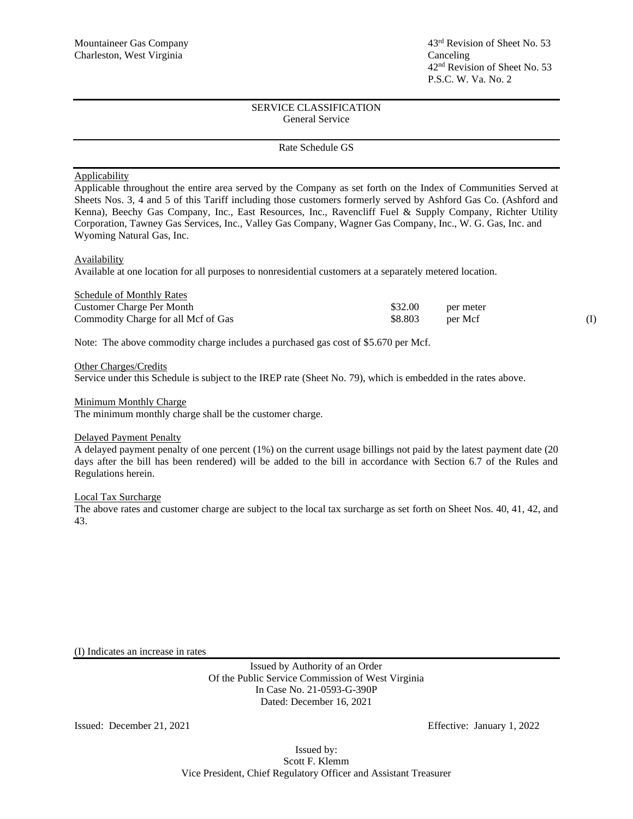## SERVICE CLASSIFICATION General Service

### Rate Schedule GS

## **Applicability**

Applicable throughout the entire area served by the Company as set forth on the Index of Communities Served at Sheets Nos. 3, 4 and 5 of this Tariff including those customers formerly served by Ashford Gas Co. (Ashford and Kenna), Beechy Gas Company, Inc., East Resources, Inc., Ravencliff Fuel & Supply Company, Richter Utility Corporation, Tawney Gas Services, Inc., Valley Gas Company, Wagner Gas Company, Inc., W. G. Gas, Inc. and Wyoming Natural Gas, Inc.

### Availability

Available at one location for all purposes to nonresidential customers at a separately metered location.

| <b>Schedule of Monthly Rates</b>    |         |           |  |
|-------------------------------------|---------|-----------|--|
| Customer Charge Per Month           | \$32.00 | per meter |  |
| Commodity Charge for all Mcf of Gas | \$8.803 | per Mcf   |  |

Note: The above commodity charge includes a purchased gas cost of \$5.670 per Mcf.

Other Charges/Credits

Service under this Schedule is subject to the IREP rate (Sheet No. 79), which is embedded in the rates above.

#### Minimum Monthly Charge

The minimum monthly charge shall be the customer charge.

### Delayed Payment Penalty

A delayed payment penalty of one percent (1%) on the current usage billings not paid by the latest payment date (20 days after the bill has been rendered) will be added to the bill in accordance with Section 6.7 of the Rules and Regulations herein.

### Local Tax Surcharge

The above rates and customer charge are subject to the local tax surcharge as set forth on Sheet Nos. 40, 41, 42, and 43.

(I) Indicates an increase in rates

Issued by Authority of an Order Of the Public Service Commission of West Virginia In Case No. 21-0593-G-390P Dated: December 16, 2021

Issued: December 21, 2021 Effective: January 1, 2022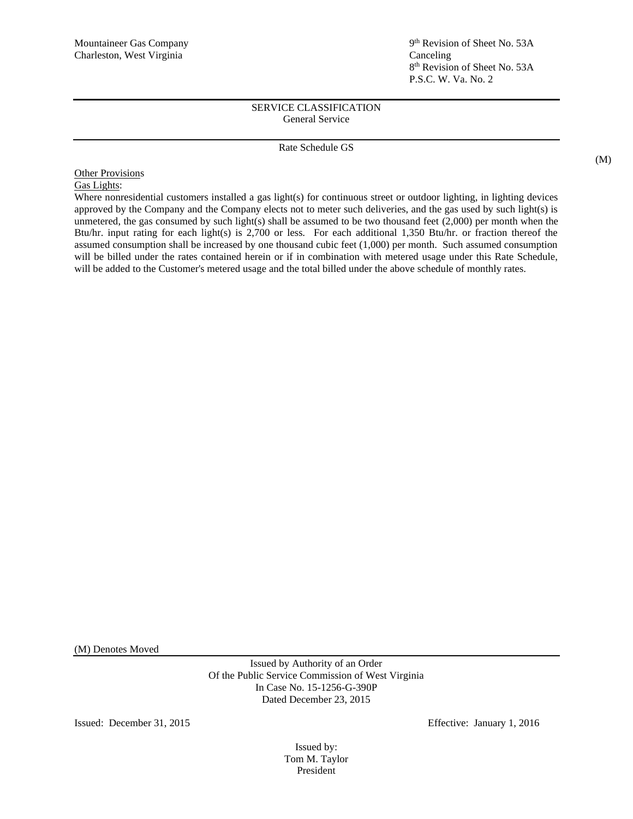## SERVICE CLASSIFICATION General Service

## Rate Schedule GS

**Other Provisions** Gas Lights:

Where nonresidential customers installed a gas light(s) for continuous street or outdoor lighting, in lighting devices approved by the Company and the Company elects not to meter such deliveries, and the gas used by such light(s) is unmetered, the gas consumed by such light(s) shall be assumed to be two thousand feet (2,000) per month when the Btu/hr. input rating for each light(s) is 2,700 or less. For each additional 1,350 Btu/hr. or fraction thereof the assumed consumption shall be increased by one thousand cubic feet (1,000) per month. Such assumed consumption will be billed under the rates contained herein or if in combination with metered usage under this Rate Schedule, will be added to the Customer's metered usage and the total billed under the above schedule of monthly rates.

(M) Denotes Moved

Issued by Authority of an Order Of the Public Service Commission of West Virginia In Case No. 15-1256-G-390P Dated December 23, 2015

Issued: December 31, 2015 Effective: January 1, 2016

Issued by: Tom M. Taylor President

(M)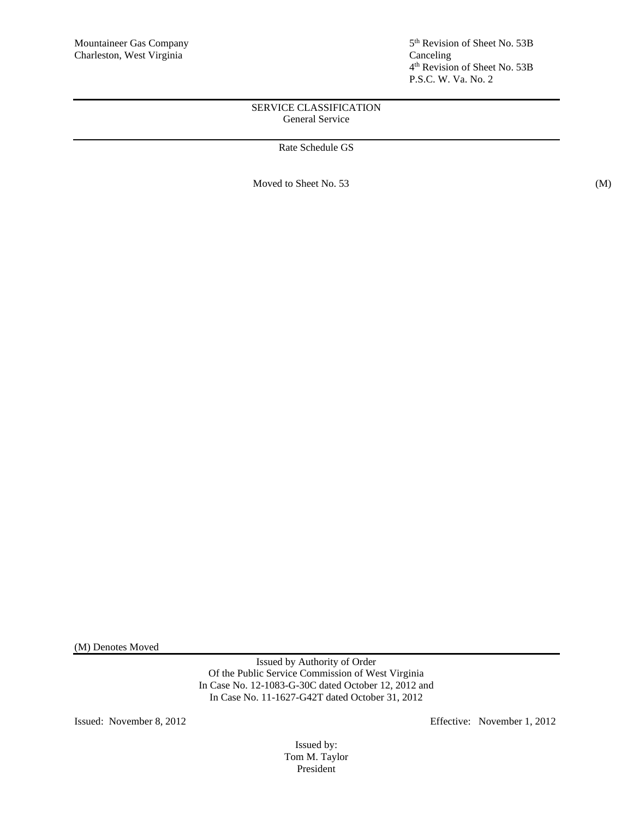5<sup>th</sup> Revision of Sheet No. 53B 4 th Revision of Sheet No. 53B P.S.C. W. Va. No. 2

## SERVICE CLASSIFICATION General Service

# Rate Schedule GS

Moved to Sheet No. 53 (M)

(M) Denotes Moved

Issued by Authority of Order Of the Public Service Commission of West Virginia In Case No. 12-1083-G-30C dated October 12, 2012 and In Case No. 11-1627-G42T dated October 31, 2012

Issued: November 8, 2012 Effective: November 1, 2012

Issued by: Tom M. Taylor President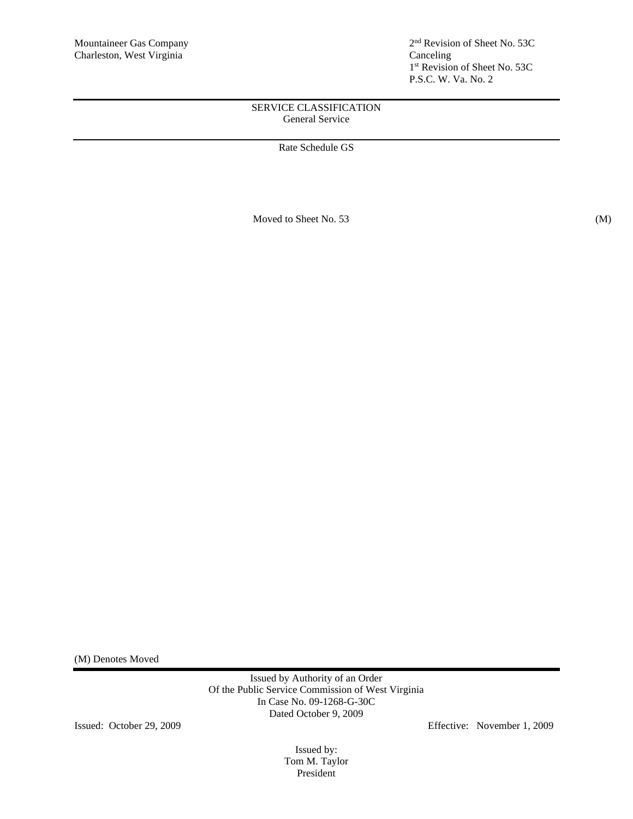2<sup>nd</sup> Revision of Sheet No. 53C 1 st Revision of Sheet No. 53C P.S.C. W. Va. No. 2

# SERVICE CLASSIFICATION General Service

Rate Schedule GS

Moved to Sheet No. 53 (M)

(M) Denotes Moved

Issued by Authority of an Order Of the Public Service Commission of West Virginia In Case No. 09-1268-G-30C Dated October 9, 2009

Issued: October 29, 2009 Effective: November 1, 2009

Issued by: Tom M. Taylor President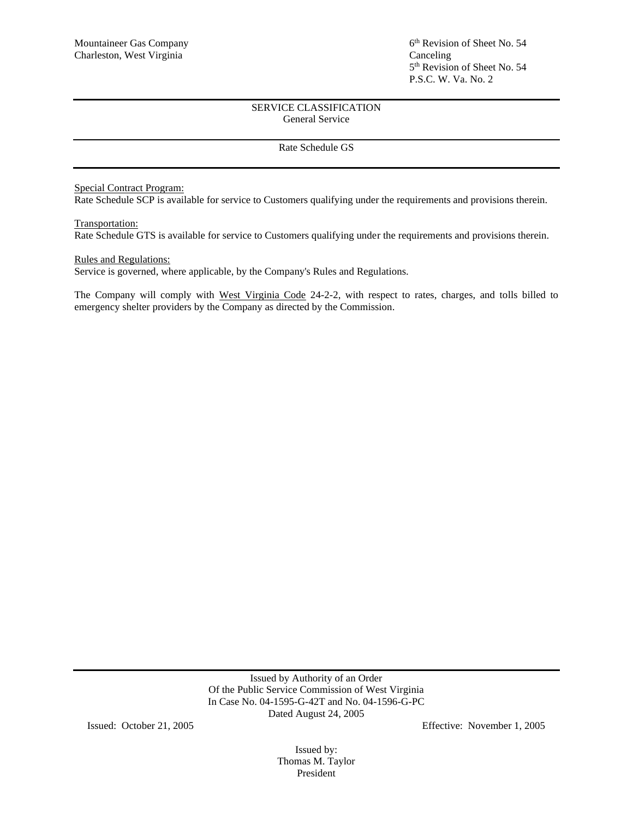## SERVICE CLASSIFICATION General Service

## Rate Schedule GS

# Special Contract Program:

Rate Schedule SCP is available for service to Customers qualifying under the requirements and provisions therein.

### Transportation:

Rate Schedule GTS is available for service to Customers qualifying under the requirements and provisions therein.

### Rules and Regulations:

Service is governed, where applicable, by the Company's Rules and Regulations.

The Company will comply with West Virginia Code 24-2-2, with respect to rates, charges, and tolls billed to emergency shelter providers by the Company as directed by the Commission.

> Issued by Authority of an Order Of the Public Service Commission of West Virginia In Case No. 04-1595-G-42T and No. 04-1596-G-PC Dated August 24, 2005

Issued: October 21, 2005 Effective: November 1, 2005

Issued by: Thomas M. Taylor President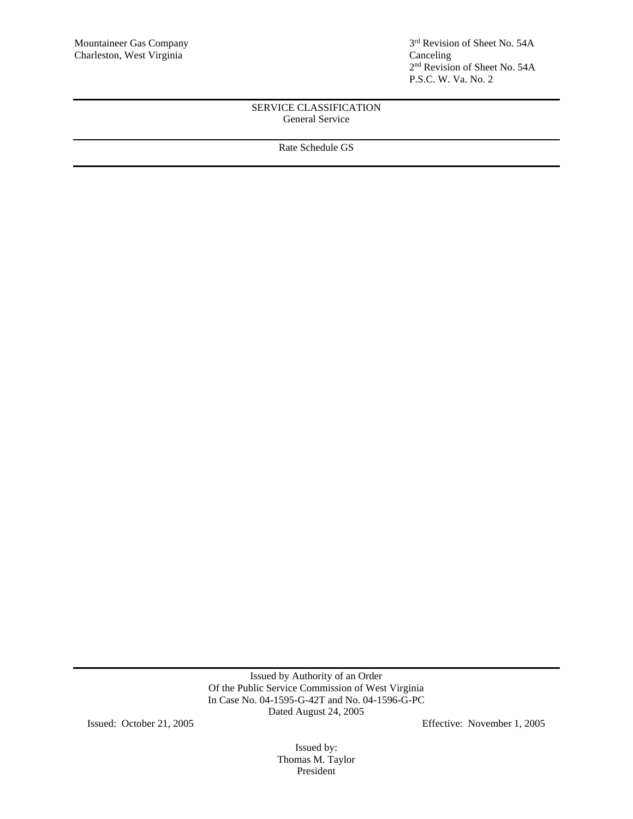3<sup>rd</sup> Revision of Sheet No. 54A 2 nd Revision of Sheet No. 54A P.S.C. W. Va. No. 2

## SERVICE CLASSIFICATION General Service

Rate Schedule GS

Issued by Authority of an Order Of the Public Service Commission of West Virginia In Case No. 04-1595-G-42T and No. 04-1596-G-PC Dated August 24, 2005

Issued: October 21, 2005 Effective: November 1, 2005

Issued by: Thomas M. Taylor President